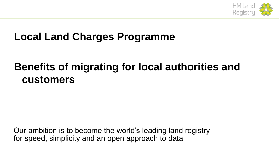

## **Local Land Charges Programme**

# **Benefits of migrating for local authorities and customers**

Our ambition is to become the world's leading land registry for speed, simplicity and an open approach to data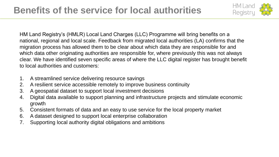

HM Land Registry's (HMLR) Local Land Charges (LLC) Programme will bring benefits on a national, regional and local scale. Feedback from migrated local authorities (LA) confirms that the migration process has allowed them to be clear about which data they are responsible for and which data other originating authorities are responsible for, where previously this was not always clear. We have identified seven specific areas of where the LLC digital register has brought benefit to local authorities and customers:

- 1. A streamlined service delivering resource savings
- 2. A resilient service accessible remotely to improve business continuity
- 3. A geospatial dataset to support local investment decisions
- 4. Digital data available to support planning and infrastructure projects and stimulate economic growth
- 5. Consistent formats of data and an easy to use service for the local property market
- 6. A dataset designed to support local enterprise collaboration
- 7. Supporting local authority digital obligations and ambitions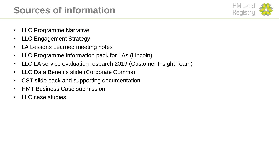## **Sources of information**



- LLC Programme Narrative
- LLC Engagement Strategy
- LA Lessons Learned meeting notes
- LLC Programme information pack for LAs (Lincoln)
- LLC LA service evaluation research 2019 (Customer Insight Team)
- LLC Data Benefits slide (Corporate Comms)
- CST slide pack and supporting documentation
- HMT Business Case submission
- LLC case studies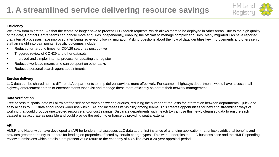

#### **Efficiency**

We know from migrated LAs that the teams no longer have to process LLC search requests, which allows them to be deployed in other areas. Due to the high quality of the data, Contact Centre teams can handle more enquiries independently, enabling the officials to manage complex enquiries. Many migrated LAs have reported that internal processes have improved after being reviewed following migration. Asking questions about the flow of data identifies key improvements and offers senior staff an insight into pain points. Specific outcomes include:

- Reduced turnaround times for CON29 searches post go-live
- Triggered review of CON29 and other datasets
- Improved and simpler internal process for updating the register
- Reduced workload means time can be spent on other tasks
- Reduced personal search agent appointments

#### **Service delivery**

LLC data can be shared across different LA departments to help deliver services more effectively. For example, highways departments would have access to all highway enforcement entries or encroachments that exist and manage these more efficiently as part of their network management.

#### **Data verification**

Free access to spatial data will allow staff to self-serve when answering queries, reducing the number of requests for information between departments. Quick and easy access to LLC data encourages wider use within LAs and increases its visibility among teams. This creates opportunities for new and streamlined ways of working that could produce unexpected resource and/or cost savings. Disparate departments within each LA can use this newly cleansed data to ensure each dataset is as accurate as possible and could provide the option to enhance by providing spatial extents.

#### **API**

HMLR and Nationwide have developed an API for lenders that assesses LLC data at the first instance of a lending application that unlocks additional benefits and provides greater certainty to lenders for lending on properties affected by certain charge types. This work underpins the LLC business case and the HMLR spending review submissions which details a net present value return to the economy of £3 billion over a 20-year appraisal period.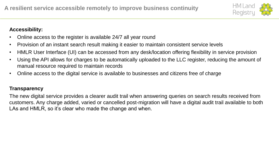

## **Accessibility:**

- Online access to the register is available 24/7 all year round
- Provision of an instant search result making it easier to maintain consistent service levels
- HMLR User Interface (UI) can be accessed from any desk/location offering flexibility in service provision
- Using the API allows for charges to be automatically uploaded to the LLC register, reducing the amount of manual resource required to maintain records
- Online access to the digital service is available to businesses and citizens free of charge

## **Transparency**

The new digital service provides a clearer audit trail when answering queries on search results received from customers. Any charge added, varied or cancelled post-migration will have a digital audit trail available to both LAs and HMLR, so it's clear who made the change and when.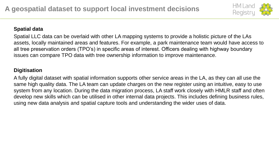

## **Spatial data**

Spatial LLC data can be overlaid with other LA mapping systems to provide a holistic picture of the LAs assets, locally maintained areas and features. For example, a park maintenance team would have access to all tree preservation orders (TPO's) in specific areas of interest. Officers dealing with highway boundary issues can compare TPO data with tree ownership information to improve maintenance.

## **Digitisation**

A fully digital dataset with spatial information supports other service areas in the LA, as they can all use the same high quality data. The LA team can update charges on the new register using an intuitive, easy to use system from any location. During the data migration process, LA staff work closely with HMLR staff and often develop new skills which can be utilised in other internal data projects. This includes defining business rules, using new data analysis and spatial capture tools and understanding the wider uses of data.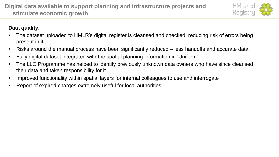

## **Data quality**:

- The dataset uploaded to HMLR's digital register is cleansed and checked, reducing risk of errors being present in it
- Risks around the manual process have been significantly reduced less handoffs and accurate data
- Fully digital dataset integrated with the spatial planning information in 'Uniform'
- The LLC Programme has helped to identify previously unknown data owners who have since cleansed their data and taken responsibility for it
- Improved functionality within spatial layers for internal colleagues to use and interrogate
- Report of expired charges extremely useful for local authorities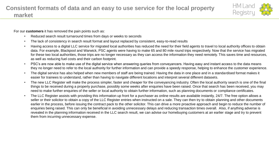

For our **customers** it has removed the pain points such as:

- Reduced search result turnaround times from days or weeks to seconds
- The lack of consistency in search result format and layout replaced by consistent, easy-to-read results
- Having access to a digital LLC service for migrated local authorities has reduced the need for their field agents to travel to local authority offices to obtain data. For example, Blackpool and Warwick, PSC agents were having to make 65 and 80 mile round trips respectively. Now that the service has migrated for these two local authorities, those trips are no longer necessary as they can access the information they need remotely. This saves time and resources, as well as reducing fuel costs and their carbon footprint.
- PSC's are now able to make use of the digital service when answering queries from conveyancers. Having easy and instant access to the data means they no longer need to refer to the local authority for further information and can provide a speedy response, helping to enhance the customer experience.
- The digital service has also helped when new members of staff are being trained. Having the data in one place and in a standardised format makes it easier for trainees to understand, rather than having to navigate different locations and interpret several different datasets.
- The new LLC Register will make the process simpler, faster and cheaper for the conveyancing industry. Often the local authority search is one of the final things to be received during a property purchase, possibly some weeks after enquiries have been raised. Once that search has been received, you may need to make further enquiries of the seller or local authority to obtain further information, such as planning documents or compliance certificates.
- The LLC Register assists with providing this information up front for a purchaser as online results are available instantly, 24/7. The free option allows a seller or their solicitor to obtain a copy of the LLC Register entries when instructed on a sale. They can then try to obtain planning and other documents earlier in the process, before issuing the contract pack to the other solicitor. This can drive a more proactive approach and begin to reduce the number of enquiries being raised. This can only be beneficial in avoiding unnecessary delays and reducing transaction times overall. Also, if anything adverse is revealed in the planning information received in the LLC search result, we can advise our homebuying customers at an earlier stage and try to prevent them from incurring unnecessary expense.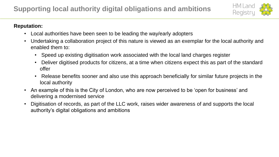

### **Reputation:**

- Local authorities have been seen to be leading the way/early adopters
- Undertaking a collaboration project of this nature is viewed as an exemplar for the local authority and enabled them to:
	- Speed up existing digitisation work associated with the local land charges register
	- Deliver digitised products for citizens, at a time when citizens expect this as part of the standard offer
	- Release benefits sooner and also use this approach beneficially for similar future projects in the local authority
- An example of this is the City of London, who are now perceived to be 'open for business' and delivering a modernised service
- Digitisation of records, as part of the LLC work, raises wider awareness of and supports the local authority's digital obligations and ambitions